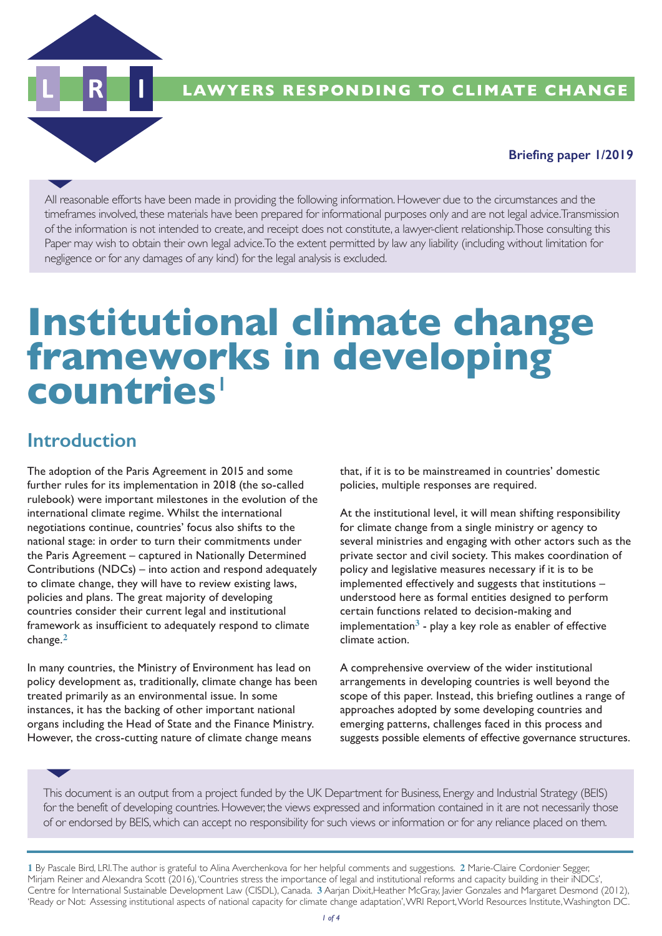

# **LAWYERS RESPONDING TO CLIMATE CHANGE**

#### **Briefing paper 1/2019**

All reasonable efforts have been made in providing the following information. However due to the circumstances and the timeframes involved, these materials have been prepared for informational purposes only and are not legal advice.Transmission of the information is not intended to create, and receipt does not constitute, a lawyer-client relationship.Those consulting this Paper may wish to obtain their own legal advice.To the extent permitted by law any liability (including without limitation for negligence or for any damages of any kind) for the legal analysis is excluded.

# **Institutional climate change frameworks in developing countries<sup>1</sup>**

## **Introduction**

The adoption of the Paris Agreement in 2015 and some further rules for its implementation in 2018 (the so-called rulebook) were important milestones in the evolution of the international climate regime. Whilst the international negotiations continue, countries' focus also shifts to the national stage: in order to turn their commitments under the Paris Agreement – captured in Nationally Determined Contributions (NDCs) – into action and respond adequately to climate change, they will have to review existing laws, policies and plans. The great majority of developing countries consider their current legal and institutional framework as insufficient to adequately respond to climate change.**2**

In many countries, the Ministry of Environment has lead on policy development as, traditionally, climate change has been treated primarily as an environmental issue. In some instances, it has the backing of other important national organs including the Head of State and the Finance Ministry. However, the cross-cutting nature of climate change means

that, if it is to be mainstreamed in countries' domestic policies, multiple responses are required.

At the institutional level, it will mean shifting responsibility for climate change from a single ministry or agency to several ministries and engaging with other actors such as the private sector and civil society. This makes coordination of policy and legislative measures necessary if it is to be implemented effectively and suggests that institutions – understood here as formal entities designed to perform certain functions related to decision-making and implementation**3** - play a key role as enabler of effective climate action.

A comprehensive overview of the wider institutional arrangements in developing countries is well beyond the scope of this paper. Instead, this briefing outlines a range of approaches adopted by some developing countries and emerging patterns, challenges faced in this process and suggests possible elements of effective governance structures.

This document is an output from a project funded by the UK Department for Business, Energy and Industrial Strategy (BEIS) for the benefit of developing countries. However, the views expressed and information contained in it are not necessarily those of or endorsed by BEIS, which can accept no responsibility for such views or information or for any reliance placed on them.

**1** By Pascale Bird, LRI. The author is grateful to Alina Averchenkova for her helpful comments and suggestions. **2** Marie-Claire Cordonier Segger, Mirjam Reiner and Alexandra Scott (2016), 'Countries stress the importance of legal and institutional reforms and capacity building in their iNDCs', Centre for International Sustainable Development Law (CISDL), Canada. **3** Aarjan Dixit,Heather McGray, Javier Gonzales and Margaret Desmond (2012), 'Ready or Not: Assessing institutional aspects of national capacity for climate change adaptation', WRI Report, World Resources Institute, Washington DC.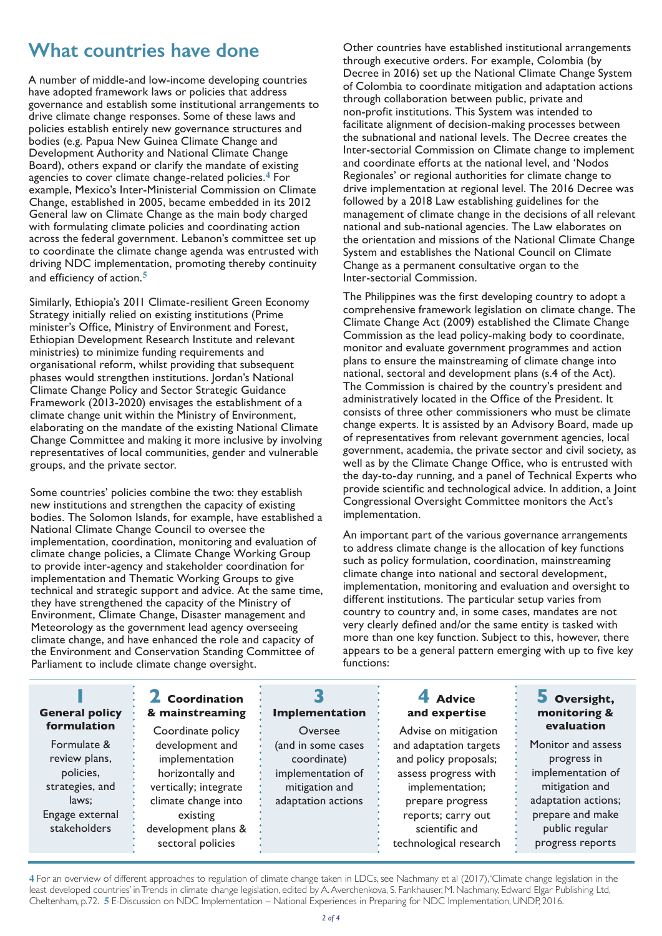## **What countries have done**

A number of middle-and low-income developing countries have adopted framework laws or policies that address governance and establish some institutional arrangements to drive climate change responses. Some of these laws and policies establish entirely new governance structures and bodies (e.g. Papua New Guinea Climate Change and Development Authority and National Climate Change Board), others expand or clarify the mandate of existing agencies to cover climate change-related policies.**4** For example, Mexico's Inter-Ministerial Commission on Climate Change, established in 2005, became embedded in its 2012 General law on Climate Change as the main body charged with formulating climate policies and coordinating action across the federal government. Lebanon's committee set up to coordinate the climate change agenda was entrusted with driving NDC implementation, promoting thereby continuity and efficiency of action.**5**

Similarly, Ethiopia's 2011 Climate-resilient Green Economy Strategy initially relied on existing institutions (Prime minister's Office, Ministry of Environment and Forest, Ethiopian Development Research Institute and relevant ministries) to minimize funding requirements and organisational reform, whilst providing that subsequent phases would strengthen institutions. Jordan's National Climate Change Policy and Sector Strategic Guidance Framework (2013-2020) envisages the establishment of a climate change unit within the Ministry of Environment, elaborating on the mandate of the existing National Climate Change Committee and making it more inclusive by involving representatives of local communities, gender and vulnerable groups, and the private sector.

Some countries' policies combine the two: they establish new institutions and strengthen the capacity of existing bodies. The Solomon Islands, for example, have established a National Climate Change Council to oversee the implementation, coordination, monitoring and evaluation of climate change policies, a Climate Change Working Group to provide inter-agency and stakeholder coordination for implementation and Thematic Working Groups to give technical and strategic support and advice. At the same time, they have strengthened the capacity of the Ministry of Environment, Climate Change, Disaster management and Meteorology as the government lead agency overseeing climate change, and have enhanced the role and capacity of the Environment and Conservation Standing Committee of Parliament to include climate change oversight.

Other countries have established institutional arrangements through executive orders. For example, Colombia (by Decree in 2016) set up the National Climate Change System of Colombia to coordinate mitigation and adaptation actions through collaboration between public, private and non-profit institutions. This System was intended to facilitate alignment of decision-making processes between the subnational and national levels. The Decree creates the Inter-sectorial Commission on Climate change to implement and coordinate efforts at the national level, and 'Nodos Regionales' or regional authorities for climate change to drive implementation at regional level. The 2016 Decree was followed by a 2018 Law establishing guidelines for the management of climate change in the decisions of all relevant national and sub-national agencies. The Law elaborates on the orientation and missions of the National Climate Change System and establishes the National Council on Climate Change as a permanent consultative organ to the Inter-sectorial Commission.

The Philippines was the first developing country to adopt a comprehensive framework legislation on climate change. The Climate Change Act (2009) established the Climate Change Commission as the lead policy-making body to coordinate, monitor and evaluate government programmes and action plans to ensure the mainstreaming of climate change into national, sectoral and development plans (s.4 of the Act). The Commission is chaired by the country's president and administratively located in the Office of the President. It consists of three other commissioners who must be climate change experts. It is assisted by an Advisory Board, made up of representatives from relevant government agencies, local government, academia, the private sector and civil society, as well as by the Climate Change Office, who is entrusted with the day-to-day running, and a panel of Technical Experts who provide scientific and technological advice. In addition, a Joint Congressional Oversight Committee monitors the Act's implementation.

An important part of the various governance arrangements to address climate change is the allocation of key functions such as policy formulation, coordination, mainstreaming climate change into national and sectoral development, implementation, monitoring and evaluation and oversight to different institutions. The particular setup varies from country to country and, in some cases, mandates are not very clearly defined and/or the same entity is tasked with more than one key function. Subject to this, however, there appears to be a general pattern emerging with up to five key functions:

| <b>General policy</b> | <b>Z</b> Coordination<br>& mainstreaming | <b>Implementation</b> | 4 Advice<br>and expertise | <b>b</b> Oversight,<br>monitoring & |
|-----------------------|------------------------------------------|-----------------------|---------------------------|-------------------------------------|
| formulation           | Coordinate policy                        | Oversee               | Advise on mitigation      | evaluation                          |
| Formulate &           | development and                          | (and in some cases    | and adaptation targets    | Monitor and assess                  |
| review plans,         | implementation                           | coordinate)           | and policy proposals;     | progress in                         |
| policies,             | horizontally and                         | implementation of     | assess progress with      | implementation of                   |
| strategies, and       | vertically; integrate                    | mitigation and        | implementation;           | mitigation and                      |
| laws:                 | climate change into                      | adaptation actions    | prepare progress          | adaptation actions;                 |
| Engage external       | existing                                 |                       | reports; carry out        | prepare and make                    |
| stakeholders          | development plans &                      |                       | scientific and            | public regular                      |
|                       | sectoral policies                        |                       | technological research    | progress reports                    |

**4** For an overview of different approaches to regulation of climate change taken in LDCs, see Nachmany et al (2017), 'Climate change legislation in the least developed countries' in Trends in climate change legislation, edited by A. Averchenkova, S. Fankhauser, M. Nachmany, Edward Elgar Publishing Ltd, Cheltenham, p.72. **5** E-Discussion on NDC Implementation – National Experiences in Preparing for NDC Implementation, UNDP, 2016.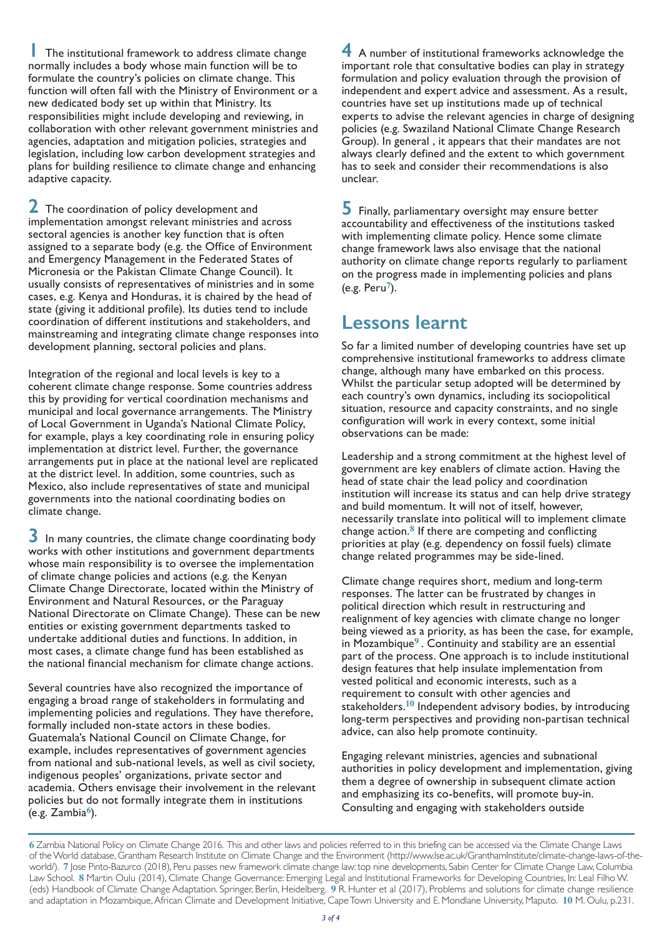**1** The institutional framework to address climate change normally includes a body whose main function will be to formulate the country's policies on climate change. This function will often fall with the Ministry of Environment or a new dedicated body set up within that Ministry. Its responsibilities might include developing and reviewing, in collaboration with other relevant government ministries and agencies, adaptation and mitigation policies, strategies and legislation, including low carbon development strategies and plans for building resilience to climate change and enhancing adaptive capacity.

**2** The coordination of policy development and implementation amongst relevant ministries and across sectoral agencies is another key function that is often assigned to a separate body (e.g. the Office of Environment and Emergency Management in the Federated States of Micronesia or the Pakistan Climate Change Council). It usually consists of representatives of ministries and in some cases, e.g. Kenya and Honduras, it is chaired by the head of state (giving it additional profile). Its duties tend to include coordination of different institutions and stakeholders, and mainstreaming and integrating climate change responses into development planning, sectoral policies and plans.

Integration of the regional and local levels is key to a coherent climate change response. Some countries address this by providing for vertical coordination mechanisms and municipal and local governance arrangements. The Ministry of Local Government in Uganda's National Climate Policy, for example, plays a key coordinating role in ensuring policy implementation at district level. Further, the governance arrangements put in place at the national level are replicated at the district level. In addition, some countries, such as Mexico, also include representatives of state and municipal governments into the national coordinating bodies on climate change.

**3** In many countries, the climate change coordinating body works with other institutions and government departments whose main responsibility is to oversee the implementation of climate change policies and actions (e.g. the Kenyan Climate Change Directorate, located within the Ministry of Environment and Natural Resources, or the Paraguay National Directorate on Climate Change). These can be new entities or existing government departments tasked to undertake additional duties and functions. In addition, in most cases, a climate change fund has been established as the national financial mechanism for climate change actions.

Several countries have also recognized the importance of engaging a broad range of stakeholders in formulating and implementing policies and regulations. They have therefore, formally included non-state actors in these bodies. Guatemala's National Council on Climate Change, for example, includes representatives of government agencies from national and sub-national levels, as well as civil society, indigenous peoples' organizations, private sector and academia. Others envisage their involvement in the relevant policies but do not formally integrate them in institutions (e.g. Zambia**6**).

**4** A number of institutional frameworks acknowledge the important role that consultative bodies can play in strategy formulation and policy evaluation through the provision of independent and expert advice and assessment. As a result, countries have set up institutions made up of technical experts to advise the relevant agencies in charge of designing policies (e.g. Swaziland National Climate Change Research Group). In general , it appears that their mandates are not always clearly defined and the extent to which government has to seek and consider their recommendations is also unclear.

**5** Finally, parliamentary oversight may ensure better accountability and effectiveness of the institutions tasked with implementing climate policy. Hence some climate change framework laws also envisage that the national authority on climate change reports regularly to parliament on the progress made in implementing policies and plans (e.g. Peru**7**).

## **Lessons learnt**

So far a limited number of developing countries have set up comprehensive institutional frameworks to address climate change, although many have embarked on this process. Whilst the particular setup adopted will be determined by each country's own dynamics, including its sociopolitical situation, resource and capacity constraints, and no single configuration will work in every context, some initial observations can be made:

Leadership and a strong commitment at the highest level of government are key enablers of climate action. Having the head of state chair the lead policy and coordination institution will increase its status and can help drive strategy and build momentum. It will not of itself, however, necessarily translate into political will to implement climate change action.**8** If there are competing and conflicting priorities at play (e.g. dependency on fossil fuels) climate change related programmes may be side-lined.

Climate change requires short, medium and long-term responses. The latter can be frustrated by changes in political direction which result in restructuring and realignment of key agencies with climate change no longer being viewed as a priority, as has been the case, for example, in Mozambique**9** . Continuity and stability are an essential part of the process. One approach is to include institutional design features that help insulate implementation from vested political and economic interests, such as a requirement to consult with other agencies and stakeholders.**10** Independent advisory bodies, by introducing long-term perspectives and providing non-partisan technical advice, can also help promote continuity.

Engaging relevant ministries, agencies and subnational authorities in policy development and implementation, giving them a degree of ownership in subsequent climate action and emphasizing its co-benefits, will promote buy-in. Consulting and engaging with stakeholders outside

**6** Zambia National Policy on Climate Change 2016. This and other laws and policies referred to in this briefing can be accessed via the Climate Change Laws of the World database, Grantham Research Institute on Climate Change and the Environment (http://www.lse.ac.uk/GranthamInstitute/climate-change-laws-of-theworld/). 7 Jose Pinto-Bazurco (2018), Peru passes new framework climate change law: top nine developments, Sabin Center for Climate Change Law, Columbia Law School. **8** Martin Oulu (2014), Climate Change Governance: Emerging Legal and Institutional Frameworks for Developing Countries, In: Leal Filho W. (eds) Handbook of Climate Change Adaptation. Springer, Berlin, Heidelberg. **9** R. Hunter et al (2017), Problems and solutions for climate change resilience and adaptation in Mozambique, African Climate and Development Initiative, Cape Town University and E. Mondlane University, Maputo. **10** M. Oulu, p.231.